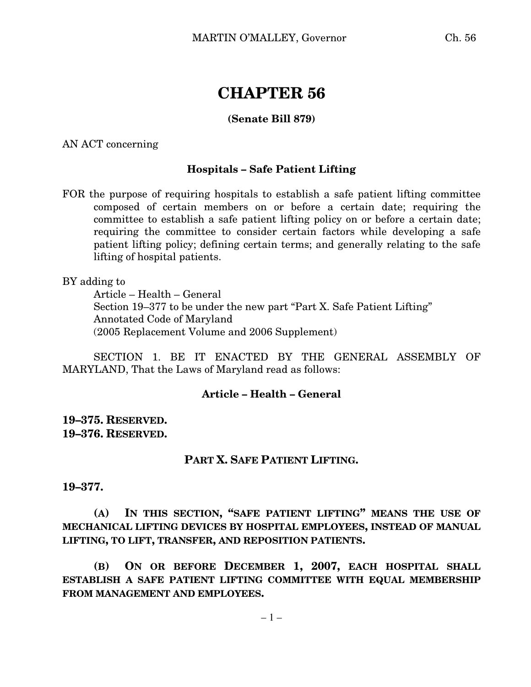# **CHAPTER 56**

### **(Senate Bill 879)**

AN ACT concerning

#### **Hospitals – Safe Patient Lifting**

FOR the purpose of requiring hospitals to establish a safe patient lifting committee composed of certain members on or before a certain date; requiring the committee to establish a safe patient lifting policy on or before a certain date; requiring the committee to consider certain factors while developing a safe patient lifting policy; defining certain terms; and generally relating to the safe lifting of hospital patients.

BY adding to

Article – Health – General Section 19–377 to be under the new part "Part X. Safe Patient Lifting" Annotated Code of Maryland (2005 Replacement Volume and 2006 Supplement)

SECTION 1. BE IT ENACTED BY THE GENERAL ASSEMBLY OF MARYLAND, That the Laws of Maryland read as follows:

#### **Article – Health – General**

## **19–375. RESERVED. 19–376. RESERVED.**

#### **PART X. SAFE PATIENT LIFTING.**

**19–377.**

**(A) IN THIS SECTION, "SAFE PATIENT LIFTING" MEANS THE USE OF MECHANICAL LIFTING DEVICES BY HOSPITAL EMPLOYEES, INSTEAD OF MANUAL LIFTING, TO LIFT, TRANSFER, AND REPOSITION PATIENTS.**

**(B) ON OR BEFORE DECEMBER 1, 2007, EACH HOSPITAL SHALL ESTABLISH A SAFE PATIENT LIFTING COMMITTEE WITH EQUAL MEMBERSHIP FROM MANAGEMENT AND EMPLOYEES.**